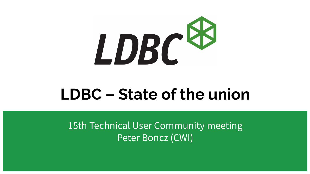

# **LDBC – State of the union**

15th Technical User Community meeting Peter Boncz (CWI)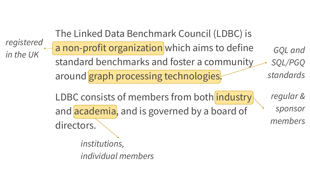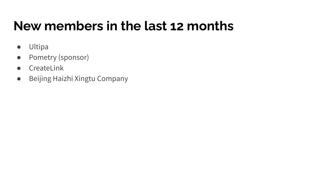#### **New members in the last 12 months**

- Ultipa
- Pometry (sponsor)
- CreateLink
- Beijing Haizhi Xingtu Company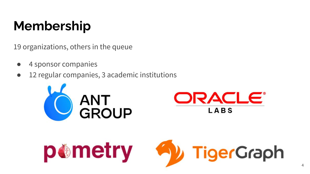## **Membership**

19 organizations, others in the queue

- 4 sponsor companies
- 12 regular companies, 3 academic institutions





$$
\text{p@metry} \quad \bigotimes \text{TigerGraph}
$$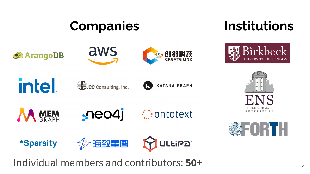### **Companies**

#### **Institutions**

Birkbeck



















**Contotext** 

**\*Sparsity** 





Individual members and contributors: **50+**

гн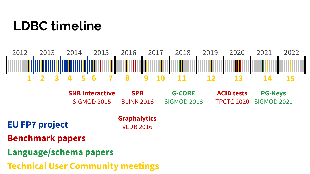#### **LDBC timeline**



BLINK 2016 **SNB Interactive** SIGMOD 2015

**G-CORE** SIGMOD 2018

**ACID tests** TPCTC 2020 **PG-Keys** SIGMOD 2021

**EU FP7 project** 

**Graphalytics** VLDB 2016

**SPB**

- **Benchmark papers**
- **Language/schema papers**
- **Technical User Community meetings**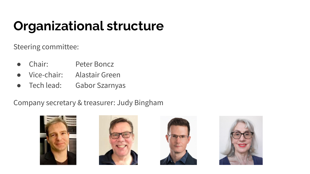## **Organizational structure**

Steering committee:

- Chair: Peter Boncz
- Vice-chair: Alastair Green
- Tech lead: Gabor Szarnyas

Company secretary & treasurer: Judy Bingham







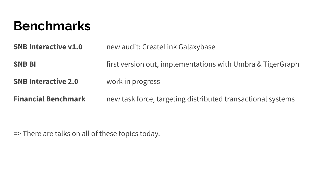#### **Benchmarks**

**SNB Interactive v1.0** new audit: CreateLink Galaxybase **SNB BI EXECT:** first version out, implementations with Umbra & TigerGraph

**SNB Interactive 2.0** work in progress

**Financial Benchmark** new task force, targeting distributed transactional systems

=> There are talks on all of these topics today.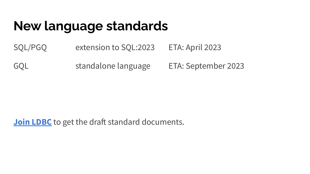#### **New language standards**

SQL/PGQ extension to SQL:2023 ETA: April 2023

GQL standalone language ETA: September 2023

**[Join LDBC](https://ldbcouncil.org/becoming-a-member/)** to get the draft standard documents.